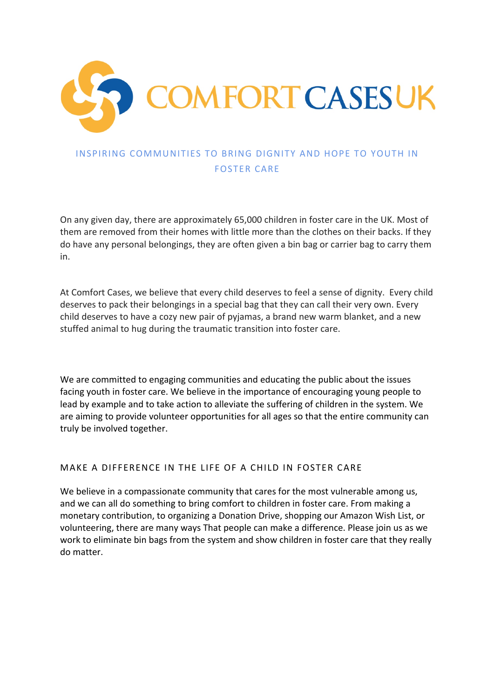

## INSPIRING COMMUNITIES TO BRING DIGNITY AND HOPE TO YOUTH IN FOSTER CARE

On any given day, there are approximately 65,000 children in foster care in the UK. Most of them are removed from their homes with little more than the clothes on their backs. If they do have any personal belongings, they are often given a bin bag or carrier bag to carry them in.

At Comfort Cases, we believe that every child deserves to feel a sense of dignity. Every child deserves to pack their belongings in a special bag that they can call their very own. Every child deserves to have a cozy new pair of pyjamas, a brand new warm blanket, and a new stuffed animal to hug during the traumatic transition into foster care.

We are committed to engaging communities and educating the public about the issues facing youth in foster care. We believe in the importance of encouraging young people to lead by example and to take action to alleviate the suffering of children in the system. We are aiming to provide volunteer opportunities for all ages so that the entire community can truly be involved together.

### MAKE A DIFFERENCE IN THE LIFE OF A CHILD IN FOSTER CARE

We believe in a compassionate community that cares for the most vulnerable among us, and we can all do something to bring comfort to children in foster care. From making a monetary contribution, to organizing a Donation Drive, shopping our Amazon Wish List, or volunteering, there are many ways That people can make a difference. Please join us as we work to eliminate bin bags from the system and show children in foster care that they really do matter.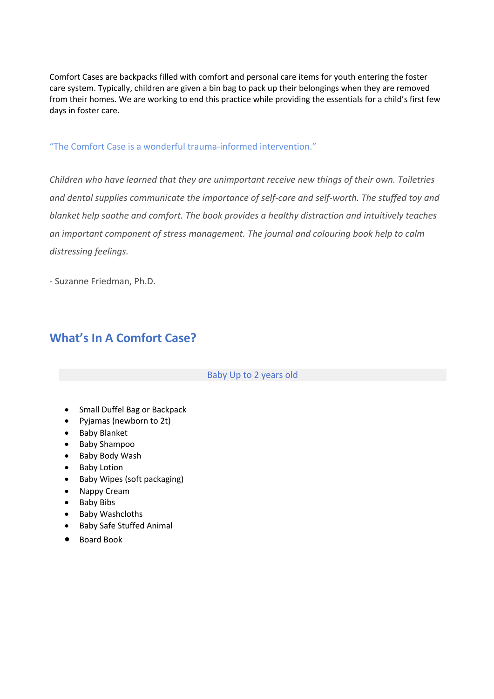Comfort Cases are backpacks filled with comfort and personal care items for youth entering the foster care system. Typically, children are given a bin bag to pack up their belongings when they are removed from their homes. We are working to end this practice while providing the essentials for a child's first few days in foster care.

### "The Comfort Case is a wonderful trauma-informed intervention."

*Children who have learned that they are unimportant receive new things of their own. Toiletries and dental supplies communicate the importance of self-care and self-worth. The stuffed toy and blanket help soothe and comfort. The book provides a healthy distraction and intuitively teaches an important component of stress management. The journal and colouring book help to calm distressing feelings.*

- Suzanne Friedman, Ph.D.

# **What's In A Comfort Case?**

#### Baby Up to 2 years old

- Small Duffel Bag or Backpack
- Pyjamas (newborn to 2t)
- Baby Blanket
- Baby Shampoo
- Baby Body Wash
- Baby Lotion
- Baby Wipes (soft packaging)
- Nappy Cream
- Baby Bibs
- Baby Washcloths
- Baby Safe Stuffed Animal
- Board Book